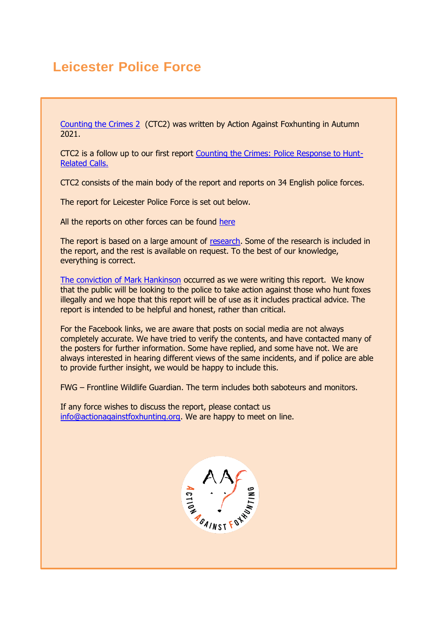# **Leicester Police Force**

[Counting the Crimes 2](https://www.actionagainstfoxhunting.org/counting-the-crimes2-the-police-response/) (CTC2) was written by Action Against Foxhunting in Autumn 2021.

CTC2 is a follow up to our first report [Counting the Crimes: Police Response to Hunt-](https://www.actionagainstfoxhunting.org/counting-the-crimes/)[Related Calls.](https://www.actionagainstfoxhunting.org/counting-the-crimes/)

CTC2 consists of the main body of the report and reports on 34 English police forces.

The report for Leicester Police Force is set out below.

All the reports on other forces can be found [here](https://www.actionagainstfoxhunting.org/counting-the-crimes2-the-police-response/)

The report is based on a large amount of [research.](https://www.actionagainstfoxhunting.org/wp-content/uploads/2021/11/A-1411-Research-for-CTC2.pdf) Some of the research is included in the report, and the rest is available on request. To the best of our knowledge, everything is correct.

[The conviction of Mark Hankinson](https://www.league.org.uk/news-and-resources/news/hunting-office-webinars-the-road-to-conviction/) occurred as we were writing this report. We know that the public will be looking to the police to take action against those who hunt foxes illegally and we hope that this report will be of use as it includes practical advice. The report is intended to be helpful and honest, rather than critical.

For the Facebook links, we are aware that posts on social media are not always completely accurate. We have tried to verify the contents, and have contacted many of the posters for further information. Some have replied, and some have not. We are always interested in hearing different views of the same incidents, and if police are able to provide further insight, we would be happy to include this.

FWG – Frontline Wildlife Guardian. The term includes both saboteurs and monitors.

If any force wishes to discuss the report, please contact us [info@actionagainstfoxhunting.org.](mailto:info@actionagainstfoxhunting.org) We are happy to meet on line.

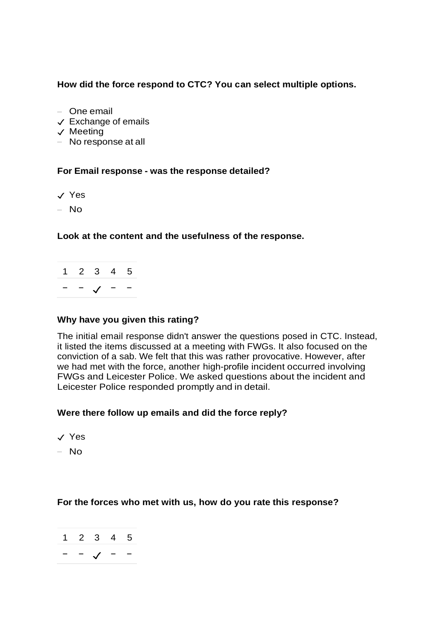# **How did the force respond to CTC? You can select multiple options.**

- One email
- ✓ Exchange of emails
- ✓ Meeting
- No response at all

#### **For Email response - was the response detailed?**

- ✓ Yes
- No

# **Look at the content and the usefulness of the response.**

1 2 3 4 5 − − ✓ − −

#### **Why have you given this rating?**

The initial email response didn't answer the questions posed in CTC. Instead, it listed the items discussed at a meeting with FWGs. It also focused on the conviction of a sab. We felt that this was rather provocative. However, after we had met with the force, another high-profile incident occurred involving FWGs and Leicester Police. We asked questions about the incident and Leicester Police responded promptly and in detail.

# **Were there follow up emails and did the force reply?**

- ✓ Yes
- No

#### **For the forces who met with us, how do you rate this response?**

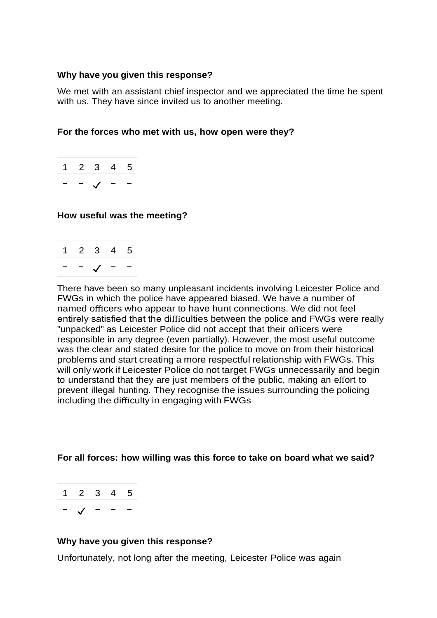#### **Why have you given this response?**

We met with an assistant chief inspector and we appreciated the time he spent with us. They have since invited us to another meeting.

# **For the forces who met with us, how open were they?**

|  | 1 2 3 4 5 |  |
|--|-----------|--|
|  |           |  |

#### **How useful was the meeting?**

| $\mathbf 1$ | 2 3 4 5 |  |
|-------------|---------|--|
|             |         |  |

There have been so many unpleasant incidents involving Leicester Police and FWGs in which the police have appeared biased. We have a number of named officers who appear to have hunt connections. We did not feel entirely satisfied that the difficulties between the police and FWGs were really "unpacked" as Leicester Police did not accept that their officers were responsible in any degree (even partially). However, the most useful outcome was the clear and stated desire for the police to move on from their historical problems and start creating a more respectful relationship with FWGs. This will only work if Leicester Police do not target FWGs unnecessarily and begin to understand that they are just members of the public, making an effort to prevent illegal hunting. They recognise the issues surrounding the policing including the difficulty in engaging with FWGs

# **For all forces: how willing was this force to take on board what we said?**

1 2 3 4 5 − ✓ − − −

#### **Why have you given this response?**

Unfortunately, not long after the meeting, Leicester Police was again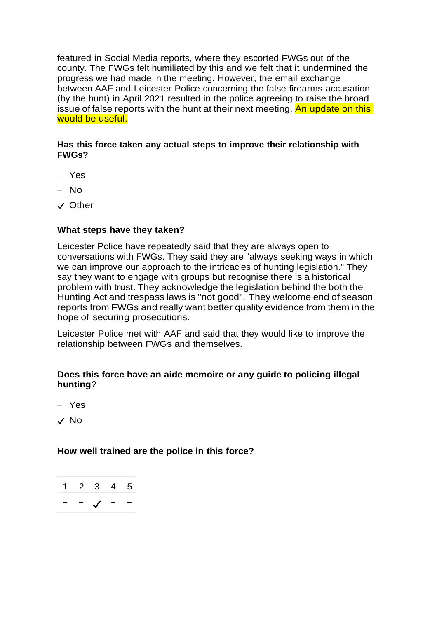featured in Social Media reports, where they escorted FWGs out of the county. The FWGs felt humiliated by this and we felt that it undermined the progress we had made in the meeting. However, the email exchange between AAF and Leicester Police concerning the false firearms accusation (by the hunt) in April 2021 resulted in the police agreeing to raise the broad issue of false reports with the hunt at their next meeting. An update on this would be useful.

# **Has this force taken any actual steps to improve their relationship with FWGs?**

- Yes
- No
- ✓ Other

# **What steps have they taken?**

Leicester Police have repeatedly said that they are always open to conversations with FWGs. They said they are "always seeking ways in which we can improve our approach to the intricacies of hunting legislation." They say they want to engage with groups but recognise there is a historical problem with trust. They acknowledge the legislation behind the both the Hunting Act and trespass laws is "not good". They welcome end of season reports from FWGs and really want better quality evidence from them in the hope of securing prosecutions.

Leicester Police met with AAF and said that they would like to improve the relationship between FWGs and themselves.

# **Does this force have an aide memoire or any guide to policing illegal hunting?**

– Yes

✓ No

# **How well trained are the police in this force?**

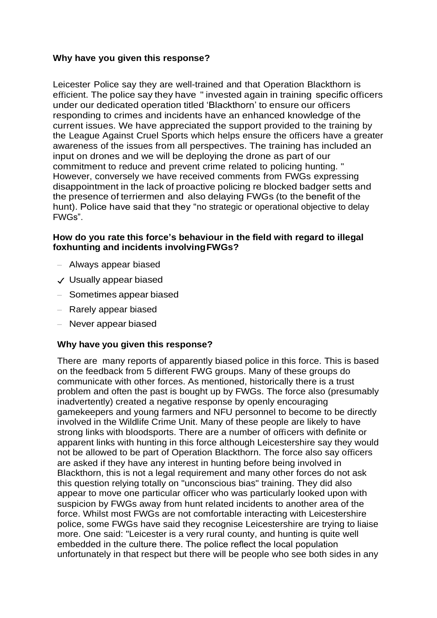# **Why have you given this response?**

Leicester Police say they are well-trained and that Operation Blackthorn is efficient. The police say they have " invested again in training specific officers under our dedicated operation titled 'Blackthorn' to ensure our officers responding to crimes and incidents have an enhanced knowledge of the current issues. We have appreciated the support provided to the training by the League Against Cruel Sports which helps ensure the officers have a greater awareness of the issues from all perspectives. The training has included an input on drones and we will be deploying the drone as part of our commitment to reduce and prevent crime related to policing hunting. " However, conversely we have received comments from FWGs expressing disappointment in the lack of proactive policing re blocked badger setts and the presence of terriermen and also delaying FWGs (to the benefit of the hunt). Police have said that they "no strategic or operational objective to delay FWGs".

# **How do you rate this force's behaviour in the field with regard to illegal foxhunting and incidents involvingFWGs?**

- Always appear biased
- ✓ Usually appear biased
- Sometimes appear biased
- Rarely appear biased
- Never appear biased

# **Why have you given this response?**

There are many reports of apparently biased police in this force. This is based on the feedback from 5 different FWG groups. Many of these groups do communicate with other forces. As mentioned, historically there is a trust problem and often the past is bought up by FWGs. The force also (presumably inadvertently) created a negative response by openly encouraging gamekeepers and young farmers and NFU personnel to become to be directly involved in the Wildlife Crime Unit. Many of these people are likely to have strong links with bloodsports. There are a number of officers with definite or apparent links with hunting in this force although Leicestershire say they would not be allowed to be part of Operation Blackthorn. The force also say officers are asked if they have any interest in hunting before being involved in Blackthorn, this is not a legal requirement and many other forces do not ask this question relying totally on "unconscious bias" training. They did also appear to move one particular officer who was particularly looked upon with suspicion by FWGs away from hunt related incidents to another area of the force. Whilst most FWGs are not comfortable interacting with Leicestershire police, some FWGs have said they recognise Leicestershire are trying to liaise more. One said: "Leicester is a very rural county, and hunting is quite well embedded in the culture there. The police reflect the local population unfortunately in that respect but there will be people who see both sides in any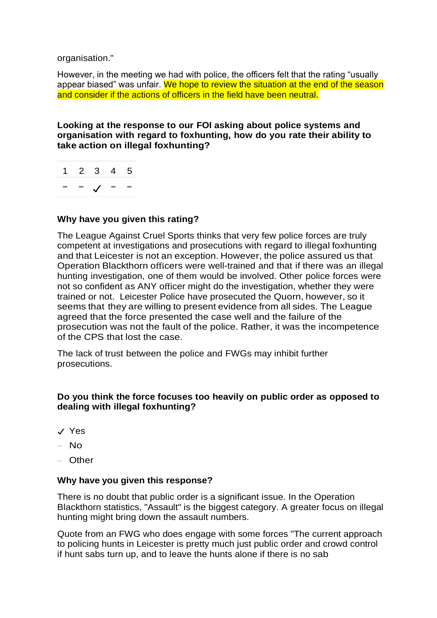organisation."

However, in the meeting we had with police, the officers felt that the rating "usually appear biased" was unfair. We hope to review the situation at the end of the season and consider if the actions of officers in the field have been neutral.

**Looking at the response to our FOI asking about police systems and organisation with regard to foxhunting, how do you rate their ability to take action on illegal foxhunting?**

|  | 1 2 3 4 5 |  |
|--|-----------|--|
|  |           |  |

# **Why have you given this rating?**

The League Against Cruel Sports thinks that very few police forces are truly competent at investigations and prosecutions with regard to illegal foxhunting and that Leicester is not an exception. However, the police assured us that Operation Blackthorn officers were well-trained and that if there was an illegal hunting investigation, one of them would be involved. Other police forces were not so confident as ANY officer might do the investigation, whether they were trained or not. Leicester Police have prosecuted the Quorn, however, so it seems that they are willing to present evidence from all sides. The League agreed that the force presented the case well and the failure of the prosecution was not the fault of the police. Rather, it was the incompetence of the CPS that lost the case.

The lack of trust between the police and FWGs may inhibit further prosecutions.

# **Do you think the force focuses too heavily on public order as opposed to dealing with illegal foxhunting?**

- ✓ Yes
- No
- Other

# **Why have you given this response?**

There is no doubt that public order is a significant issue. In the Operation Blackthorn statistics, "Assault" is the biggest category. A greater focus on illegal hunting might bring down the assault numbers.

Quote from an FWG who does engage with some forces "The current approach to policing hunts in Leicester is pretty much just public order and crowd control if hunt sabs turn up, and to leave the hunts alone if there is no sab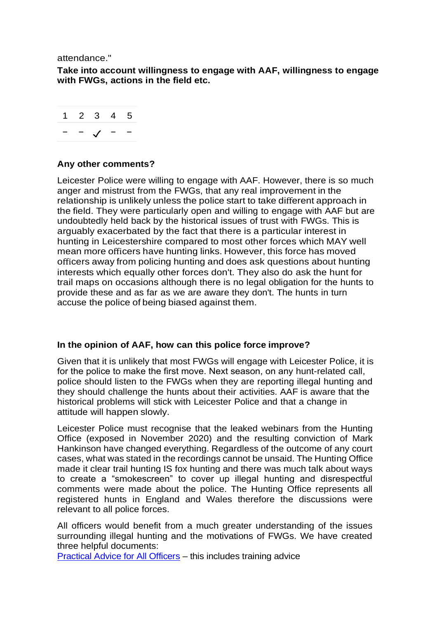attendance."

**Take into account willingness to engage with AAF, willingness to engage with FWGs, actions in the field etc.**

$$
\begin{array}{c|cccc}\n1 & 2 & 3 & 4 & 5 \\
\hline\n- & - & \checkmark & - & - \\
\end{array}
$$

#### **Any other comments?**

Leicester Police were willing to engage with AAF. However, there is so much anger and mistrust from the FWGs, that any real improvement in the relationship is unlikely unless the police start to take different approach in the field. They were particularly open and willing to engage with AAF but are undoubtedly held back by the historical issues of trust with FWGs. This is arguably exacerbated by the fact that there is a particular interest in hunting in Leicestershire compared to most other forces which MAY well mean more officers have hunting links. However, this force has moved officers away from policing hunting and does ask questions about hunting interests which equally other forces don't. They also do ask the hunt for trail maps on occasions although there is no legal obligation for the hunts to provide these and as far as we are aware they don't. The hunts in turn accuse the police of being biased against them.

# **In the opinion of AAF, how can this police force improve?**

Given that it is unlikely that most FWGs will engage with Leicester Police, it is for the police to make the first move. Next season, on any hunt-related call, police should listen to the FWGs when they are reporting illegal hunting and they should challenge the hunts about their activities. AAF is aware that the historical problems will stick with Leicester Police and that a change in attitude will happen slowly.

Leicester Police must recognise that the leaked webinars from the Hunting Office (exposed in November 2020) and the resulting conviction of Mark Hankinson have changed everything. Regardless of the outcome of any court cases, what was stated in the recordings cannot be unsaid. The Hunting Office made it clear trail hunting IS fox hunting and there was much talk about ways to create a "smokescreen" to cover up illegal hunting and disrespectful comments were made about the police. The Hunting Office represents all registered hunts in England and Wales therefore the discussions were relevant to all police forces.

All officers would benefit from a much greater understanding of the issues surrounding illegal hunting and the motivations of FWGs. We have created three helpful documents:

[Practical Advice for All Officers](https://www.actionagainstfoxhunting.org/wp-content/uploads/2021/11/B-1411-Practical-Advice-for-all-Police-Forces.pdf) – this includes training advice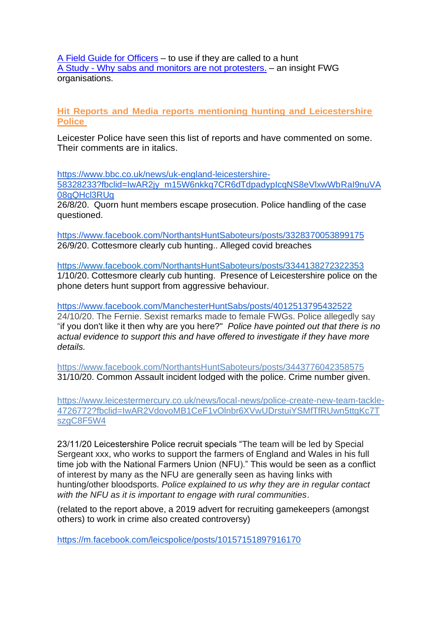[A Field Guide for Officers](https://www.actionagainstfoxhunting.org/wp-content/uploads/2021/11/A-1411-FIELD-GUIDE-ILLEGAL-FOXHUNTING.pdf) – to use if they are called to a hunt A Study - [Why sabs and monitors are not protesters.](https://www.actionagainstfoxhunting.org/wp-content/uploads/2021/11/A-1411-Why-sabs-and-monitors-arent-protesters.pdf) – an insight FWG organisations.

**Hit Reports and Media reports mentioning hunting and Leicestershire Police** 

Leicester Police have seen this list of reports and have commented on some. Their comments are in italics.

[https://www.bbc.co.uk/news/uk-england-leicestershire-](https://www.bbc.co.uk/news/uk-england-leicestershire-58328233?fbclid=IwAR2jy_m15W6nkkq7CR6dTdpadypIcqNS8eVlxwWbRaI9nuVA08gQHcl3RUg)[58328233?fbclid=IwAR2jy\\_m15W6nkkq7CR6dTdpadypIcqNS8eVlxwWbRaI9nuVA](https://www.bbc.co.uk/news/uk-england-leicestershire-58328233?fbclid=IwAR2jy_m15W6nkkq7CR6dTdpadypIcqNS8eVlxwWbRaI9nuVA08gQHcl3RUg) [08gQHcl3RUg](https://www.bbc.co.uk/news/uk-england-leicestershire-58328233?fbclid=IwAR2jy_m15W6nkkq7CR6dTdpadypIcqNS8eVlxwWbRaI9nuVA08gQHcl3RUg)

26/8/20. Quorn hunt members escape prosecution. Police handling of the case questioned.

<https://www.facebook.com/NorthantsHuntSaboteurs/posts/3328370053899175> 26/9/20. Cottesmore clearly cub hunting.. Alleged covid breaches

<https://www.facebook.com/NorthantsHuntSaboteurs/posts/3344138272322353> 1/10/20. Cottesmore clearly cub hunting. Presence of Leicestershire police on the phone deters hunt support from aggressive behaviour.

<https://www.facebook.com/ManchesterHuntSabs/posts/4012513795432522> 24/10/20. The Fernie. Sexist remarks made to female FWGs. Police allegedly say "if you don't like it then why are you here?" *Police have pointed out that there is no actual evidence to support this and have offered to investigate if they have more details.* 

<https://www.facebook.com/NorthantsHuntSaboteurs/posts/3443776042358575> 31/10/20. Common Assault incident lodged with the police. Crime number given.

[https://www.leicestermercury.co.uk/news/local-news/police-create-new-team-tackle-](https://www.leicestermercury.co.uk/news/local-news/police-create-new-team-tackle-4726772?fbclid=IwAR2VdovoMB1CeF1vOlnbr6XVwUDrstuiYSMfTfRUwn5ttgKc7TszgC8F5W4)[4726772?fbclid=IwAR2VdovoMB1CeF1vOlnbr6XVwUDrstuiYSMfTfRUwn5ttgKc7T](https://www.leicestermercury.co.uk/news/local-news/police-create-new-team-tackle-4726772?fbclid=IwAR2VdovoMB1CeF1vOlnbr6XVwUDrstuiYSMfTfRUwn5ttgKc7TszgC8F5W4) [szgC8F5W4](https://www.leicestermercury.co.uk/news/local-news/police-create-new-team-tackle-4726772?fbclid=IwAR2VdovoMB1CeF1vOlnbr6XVwUDrstuiYSMfTfRUwn5ttgKc7TszgC8F5W4)

23/11/20 Leicestershire Police recruit specials "The team will be led by Special Sergeant xxx, who works to support the farmers of England and Wales in his full time job with the National Farmers Union (NFU)." This would be seen as a conflict of interest by many as the NFU are generally seen as having links with hunting/other bloodsports. *Police explained to us why they are in regular contact with the NFU as it is important to engage with rural communities*.

(related to the report above, a 2019 advert for recruiting gamekeepers (amongst others) to work in crime also created controversy)

<https://m.facebook.com/leicspolice/posts/10157151897916170>